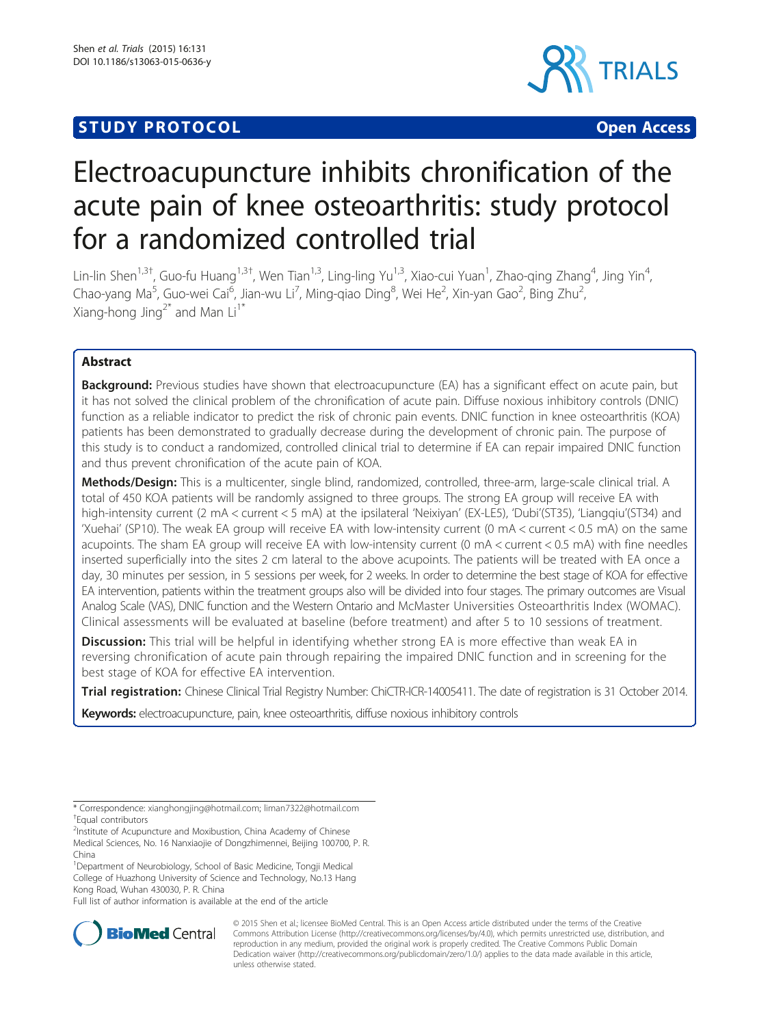## **STUDY PROTOCOL CONSUMING THE RESERVE ACCESS**



# Electroacupuncture inhibits chronification of the acute pain of knee osteoarthritis: study protocol for a randomized controlled trial

Lin-lin Shen<sup>1,3†</sup>, Guo-fu Huang<sup>1,3†</sup>, Wen Tian<sup>1,3</sup>, Ling-ling Yu<sup>1,3</sup>, Xiao-cui Yuan<sup>1</sup>, Zhao-qing Zhang<sup>4</sup>, Jing Yin<sup>4</sup> , Chao-yang Ma<sup>5</sup>, Guo-wei Cai<sup>6</sup>, Jian-wu Li<sup>7</sup>, Ming-qiao Ding<sup>8</sup>, Wei He<sup>2</sup>, Xin-yan Gao<sup>2</sup>, Bing Zhu<sup>2</sup> , Xiang-hong Jing<sup>2\*</sup> and Man  $Li^{1*}$ 

### Abstract

Background: Previous studies have shown that electroacupuncture (EA) has a significant effect on acute pain, but it has not solved the clinical problem of the chronification of acute pain. Diffuse noxious inhibitory controls (DNIC) function as a reliable indicator to predict the risk of chronic pain events. DNIC function in knee osteoarthritis (KOA) patients has been demonstrated to gradually decrease during the development of chronic pain. The purpose of this study is to conduct a randomized, controlled clinical trial to determine if EA can repair impaired DNIC function and thus prevent chronification of the acute pain of KOA.

Methods/Design: This is a multicenter, single blind, randomized, controlled, three-arm, large-scale clinical trial. A total of 450 KOA patients will be randomly assigned to three groups. The strong EA group will receive EA with high-intensity current (2 mA < current < 5 mA) at the ipsilateral 'Neixiyan' (EX-LE5), 'Dubi'(ST35), 'Liangqiu'(ST34) and 'Xuehai' (SP10). The weak EA group will receive EA with low-intensity current (0 mA < current < 0.5 mA) on the same acupoints. The sham EA group will receive EA with low-intensity current (0 mA < current < 0.5 mA) with fine needles inserted superficially into the sites 2 cm lateral to the above acupoints. The patients will be treated with EA once a day, 30 minutes per session, in 5 sessions per week, for 2 weeks. In order to determine the best stage of KOA for effective EA intervention, patients within the treatment groups also will be divided into four stages. The primary outcomes are Visual Analog Scale (VAS), DNIC function and the Western Ontario and McMaster Universities Osteoarthritis Index (WOMAC). Clinical assessments will be evaluated at baseline (before treatment) and after 5 to 10 sessions of treatment.

**Discussion:** This trial will be helpful in identifying whether strong EA is more effective than weak EA in reversing chronification of acute pain through repairing the impaired DNIC function and in screening for the best stage of KOA for effective EA intervention.

Trial registration: Chinese Clinical Trial Registry Number: [ChiCTR-ICR-14005411](http://www.chictr.org.cn/showproj.aspx?proj=9758). The date of registration is 31 October 2014.

Keywords: electroacupuncture, pain, knee osteoarthritis, diffuse noxious inhibitory controls

<sup>2</sup>Institute of Acupuncture and Moxibustion, China Academy of Chinese Medical Sciences, No. 16 Nanxiaojie of Dongzhimennei, Beijing 100700, P. R. China

<sup>1</sup>Department of Neurobiology, School of Basic Medicine, Tongji Medical College of Huazhong University of Science and Technology, No.13 Hang Kong Road, Wuhan 430030, P. R. China

Full list of author information is available at the end of the article



© 2015 Shen et al.; licensee BioMed Central. This is an Open Access article distributed under the terms of the Creative Commons Attribution License [\(http://creativecommons.org/licenses/by/4.0\)](http://creativecommons.org/licenses/by/4.0), which permits unrestricted use, distribution, and reproduction in any medium, provided the original work is properly credited. The Creative Commons Public Domain Dedication waiver [\(http://creativecommons.org/publicdomain/zero/1.0/](http://creativecommons.org/publicdomain/zero/1.0/)) applies to the data made available in this article, unless otherwise stated.

<sup>\*</sup> Correspondence: [xianghongjing@hotmail.com;](mailto:xianghongjing@hotmail.com) [liman7322@hotmail.com](mailto:liman7322@hotmail.com) † Equal contributors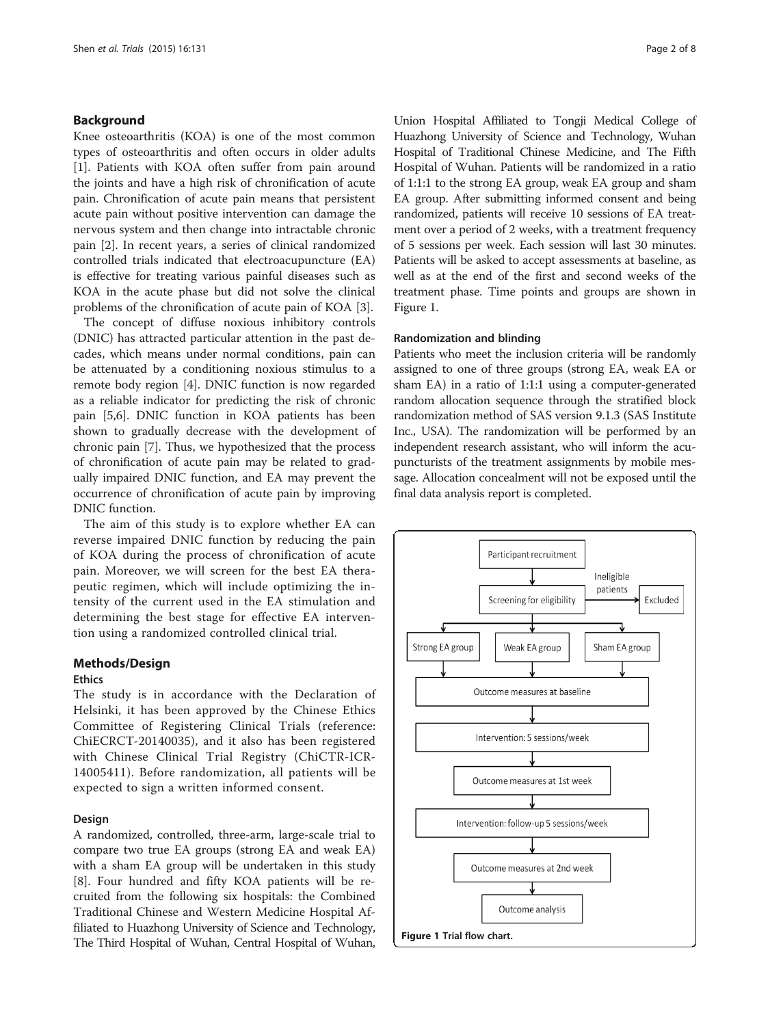#### Background

Knee osteoarthritis (KOA) is one of the most common types of osteoarthritis and often occurs in older adults [[1\]](#page-6-0). Patients with KOA often suffer from pain around the joints and have a high risk of chronification of acute pain. Chronification of acute pain means that persistent acute pain without positive intervention can damage the nervous system and then change into intractable chronic pain [\[2](#page-7-0)]. In recent years, a series of clinical randomized controlled trials indicated that electroacupuncture (EA) is effective for treating various painful diseases such as KOA in the acute phase but did not solve the clinical problems of the chronification of acute pain of KOA [[3\]](#page-7-0).

The concept of diffuse noxious inhibitory controls (DNIC) has attracted particular attention in the past decades, which means under normal conditions, pain can be attenuated by a conditioning noxious stimulus to a remote body region [[4\]](#page-7-0). DNIC function is now regarded as a reliable indicator for predicting the risk of chronic pain [[5,6\]](#page-7-0). DNIC function in KOA patients has been shown to gradually decrease with the development of chronic pain [[7\]](#page-7-0). Thus, we hypothesized that the process of chronification of acute pain may be related to gradually impaired DNIC function, and EA may prevent the occurrence of chronification of acute pain by improving DNIC function.

The aim of this study is to explore whether EA can reverse impaired DNIC function by reducing the pain of KOA during the process of chronification of acute pain. Moreover, we will screen for the best EA therapeutic regimen, which will include optimizing the intensity of the current used in the EA stimulation and determining the best stage for effective EA intervention using a randomized controlled clinical trial.

#### Methods/Design

#### Ethics

The study is in accordance with the Declaration of Helsinki, it has been approved by the Chinese Ethics Committee of Registering Clinical Trials (reference: ChiECRCT-20140035), and it also has been registered with Chinese Clinical Trial Registry (ChiCTR-ICR-14005411). Before randomization, all patients will be expected to sign a written informed consent.

#### Design

A randomized, controlled, three-arm, large-scale trial to compare two true EA groups (strong EA and weak EA) with a sham EA group will be undertaken in this study [[8\]](#page-7-0). Four hundred and fifty KOA patients will be recruited from the following six hospitals: the Combined Traditional Chinese and Western Medicine Hospital Affiliated to Huazhong University of Science and Technology, The Third Hospital of Wuhan, Central Hospital of Wuhan,

Union Hospital Affiliated to Tongji Medical College of Huazhong University of Science and Technology, Wuhan Hospital of Traditional Chinese Medicine, and The Fifth Hospital of Wuhan. Patients will be randomized in a ratio of 1:1:1 to the strong EA group, weak EA group and sham EA group. After submitting informed consent and being randomized, patients will receive 10 sessions of EA treatment over a period of 2 weeks, with a treatment frequency of 5 sessions per week. Each session will last 30 minutes. Patients will be asked to accept assessments at baseline, as well as at the end of the first and second weeks of the treatment phase. Time points and groups are shown in Figure 1.

#### Randomization and blinding

Patients who meet the inclusion criteria will be randomly assigned to one of three groups (strong EA, weak EA or sham EA) in a ratio of 1:1:1 using a computer-generated random allocation sequence through the stratified block randomization method of SAS version 9.1.3 (SAS Institute Inc., USA). The randomization will be performed by an independent research assistant, who will inform the acupuncturists of the treatment assignments by mobile message. Allocation concealment will not be exposed until the final data analysis report is completed.

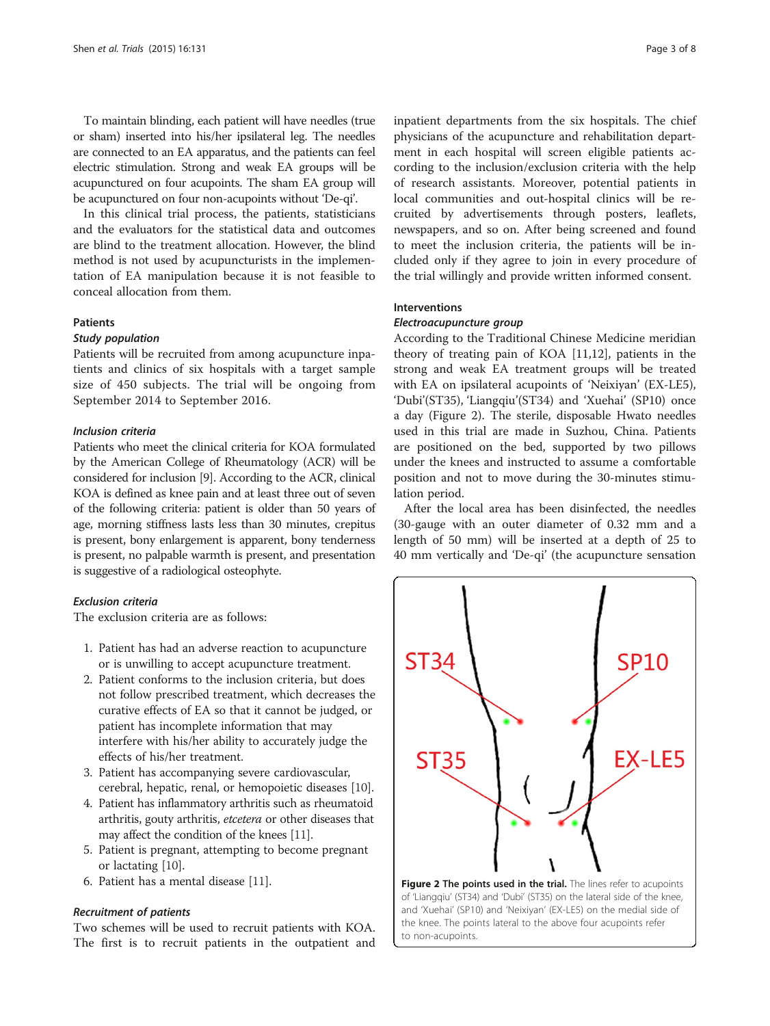<span id="page-2-0"></span>To maintain blinding, each patient will have needles (true or sham) inserted into his/her ipsilateral leg. The needles are connected to an EA apparatus, and the patients can feel electric stimulation. Strong and weak EA groups will be acupunctured on four acupoints. The sham EA group will be acupunctured on four non-acupoints without 'De-qi'.

In this clinical trial process, the patients, statisticians and the evaluators for the statistical data and outcomes are blind to the treatment allocation. However, the blind method is not used by acupuncturists in the implementation of EA manipulation because it is not feasible to conceal allocation from them.

#### Patients

#### Study population

Patients will be recruited from among acupuncture inpatients and clinics of six hospitals with a target sample size of 450 subjects. The trial will be ongoing from September 2014 to September 2016.

#### Inclusion criteria

Patients who meet the clinical criteria for KOA formulated by the American College of Rheumatology (ACR) will be considered for inclusion [\[9\]](#page-7-0). According to the ACR, clinical KOA is defined as knee pain and at least three out of seven of the following criteria: patient is older than 50 years of age, morning stiffness lasts less than 30 minutes, crepitus is present, bony enlargement is apparent, bony tenderness is present, no palpable warmth is present, and presentation is suggestive of a radiological osteophyte.

#### Exclusion criteria

The exclusion criteria are as follows:

- 1. Patient has had an adverse reaction to acupuncture or is unwilling to accept acupuncture treatment.
- 2. Patient conforms to the inclusion criteria, but does not follow prescribed treatment, which decreases the curative effects of EA so that it cannot be judged, or patient has incomplete information that may interfere with his/her ability to accurately judge the effects of his/her treatment.
- 3. Patient has accompanying severe cardiovascular, cerebral, hepatic, renal, or hemopoietic diseases [[10](#page-7-0)].
- 4. Patient has inflammatory arthritis such as rheumatoid arthritis, gouty arthritis, etcetera or other diseases that may affect the condition of the knees [[11](#page-7-0)].
- 5. Patient is pregnant, attempting to become pregnant or lactating [\[10\]](#page-7-0).
- 6. Patient has a mental disease [\[11](#page-7-0)].

#### Recruitment of patients

Two schemes will be used to recruit patients with KOA. The first is to recruit patients in the outpatient and

inpatient departments from the six hospitals. The chief physicians of the acupuncture and rehabilitation department in each hospital will screen eligible patients according to the inclusion/exclusion criteria with the help of research assistants. Moreover, potential patients in local communities and out-hospital clinics will be recruited by advertisements through posters, leaflets, newspapers, and so on. After being screened and found to meet the inclusion criteria, the patients will be included only if they agree to join in every procedure of the trial willingly and provide written informed consent.

#### Interventions

#### Electroacupuncture group

According to the Traditional Chinese Medicine meridian theory of treating pain of KOA [[11](#page-7-0),[12](#page-7-0)], patients in the strong and weak EA treatment groups will be treated with EA on ipsilateral acupoints of 'Neixiyan' (EX-LE5), 'Dubi'(ST35), 'Liangqiu'(ST34) and 'Xuehai' (SP10) once a day (Figure 2). The sterile, disposable Hwato needles used in this trial are made in Suzhou, China. Patients are positioned on the bed, supported by two pillows under the knees and instructed to assume a comfortable position and not to move during the 30-minutes stimulation period.

After the local area has been disinfected, the needles (30-gauge with an outer diameter of 0.32 mm and a length of 50 mm) will be inserted at a depth of 25 to 40 mm vertically and 'De-qi' (the acupuncture sensation

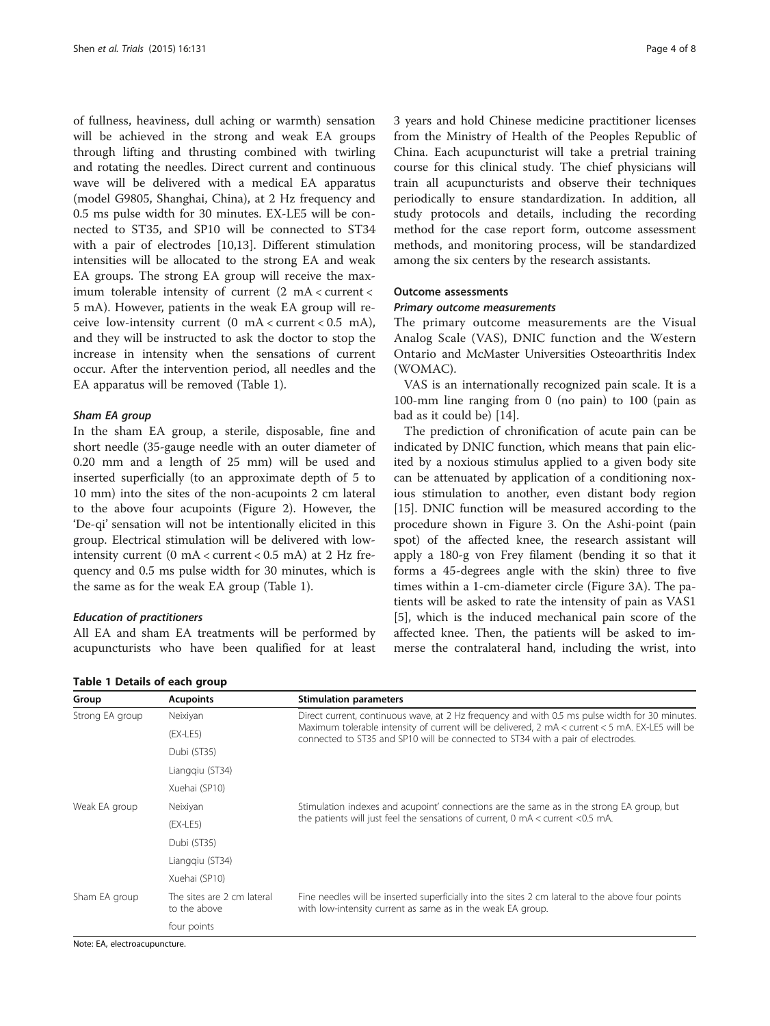of fullness, heaviness, dull aching or warmth) sensation will be achieved in the strong and weak EA groups through lifting and thrusting combined with twirling and rotating the needles. Direct current and continuous wave will be delivered with a medical EA apparatus (model G9805, Shanghai, China), at 2 Hz frequency and 0.5 ms pulse width for 30 minutes. EX-LE5 will be connected to ST35, and SP10 will be connected to ST34 with a pair of electrodes [\[10,13\]](#page-7-0). Different stimulation intensities will be allocated to the strong EA and weak EA groups. The strong EA group will receive the maximum tolerable intensity of current (2 mA < current < 5 mA). However, patients in the weak EA group will receive low-intensity current (0 mA < current < 0.5 mA), and they will be instructed to ask the doctor to stop the increase in intensity when the sensations of current occur. After the intervention period, all needles and the EA apparatus will be removed (Table 1).

#### Sham EA group

In the sham EA group, a sterile, disposable, fine and short needle (35-gauge needle with an outer diameter of 0.20 mm and a length of 25 mm) will be used and inserted superficially (to an approximate depth of 5 to 10 mm) into the sites of the non-acupoints 2 cm lateral to the above four acupoints (Figure [2\)](#page-2-0). However, the 'De-qi' sensation will not be intentionally elicited in this group. Electrical stimulation will be delivered with lowintensity current (0 mA < current < 0.5 mA) at 2 Hz frequency and 0.5 ms pulse width for 30 minutes, which is the same as for the weak EA group (Table 1).

#### Education of practitioners

Table 1 Details of each group

All EA and sham EA treatments will be performed by acupuncturists who have been qualified for at least

3 years and hold Chinese medicine practitioner licenses from the Ministry of Health of the Peoples Republic of China. Each acupuncturist will take a pretrial training course for this clinical study. The chief physicians will train all acupuncturists and observe their techniques periodically to ensure standardization. In addition, all study protocols and details, including the recording method for the case report form, outcome assessment methods, and monitoring process, will be standardized among the six centers by the research assistants.

#### Outcome assessments

#### Primary outcome measurements

The primary outcome measurements are the Visual Analog Scale (VAS), DNIC function and the Western Ontario and McMaster Universities Osteoarthritis Index (WOMAC).

VAS is an internationally recognized pain scale. It is a 100-mm line ranging from 0 (no pain) to 100 (pain as bad as it could be) [[14](#page-7-0)].

The prediction of chronification of acute pain can be indicated by DNIC function, which means that pain elicited by a noxious stimulus applied to a given body site can be attenuated by application of a conditioning noxious stimulation to another, even distant body region [[15\]](#page-7-0). DNIC function will be measured according to the procedure shown in Figure [3.](#page-4-0) On the Ashi-point (pain spot) of the affected knee, the research assistant will apply a 180-g von Frey filament (bending it so that it forms a 45-degrees angle with the skin) three to five times within a 1-cm-diameter circle (Figure [3](#page-4-0)A). The patients will be asked to rate the intensity of pain as VAS1 [[5\]](#page-7-0), which is the induced mechanical pain score of the affected knee. Then, the patients will be asked to immerse the contralateral hand, including the wrist, into

| Group           | <b>Acupoints</b>                           | <b>Stimulation parameters</b>                                                                                                                                                                                                                                                        |
|-----------------|--------------------------------------------|--------------------------------------------------------------------------------------------------------------------------------------------------------------------------------------------------------------------------------------------------------------------------------------|
| Strong EA group | Neixiyan                                   | Direct current, continuous wave, at 2 Hz frequency and with 0.5 ms pulse width for 30 minutes.<br>Maximum tolerable intensity of current will be delivered, 2 mA < current < 5 mA. EX-LE5 will be<br>connected to ST35 and SP10 will be connected to ST34 with a pair of electrodes. |
|                 | $(EX-LE5)$                                 |                                                                                                                                                                                                                                                                                      |
|                 | Dubi (ST35)                                |                                                                                                                                                                                                                                                                                      |
|                 | Lianggiu (ST34)                            |                                                                                                                                                                                                                                                                                      |
|                 | Xuehai (SP10)                              |                                                                                                                                                                                                                                                                                      |
| Weak EA group   | Neixiyan                                   | Stimulation indexes and acupoint' connections are the same as in the strong EA group, but<br>the patients will just feel the sensations of current, $0 \text{ mA} <$ current <0.5 mA.                                                                                                |
|                 | $(EX-LE5)$                                 |                                                                                                                                                                                                                                                                                      |
|                 | Dubi (ST35)                                |                                                                                                                                                                                                                                                                                      |
|                 | Lianggiu (ST34)                            |                                                                                                                                                                                                                                                                                      |
|                 | Xuehai (SP10)                              |                                                                                                                                                                                                                                                                                      |
| Sham EA group   | The sites are 2 cm lateral<br>to the above | Fine needles will be inserted superficially into the sites 2 cm lateral to the above four points<br>with low-intensity current as same as in the weak EA group.                                                                                                                      |
|                 | four points                                |                                                                                                                                                                                                                                                                                      |

Note: EA, electroacupuncture.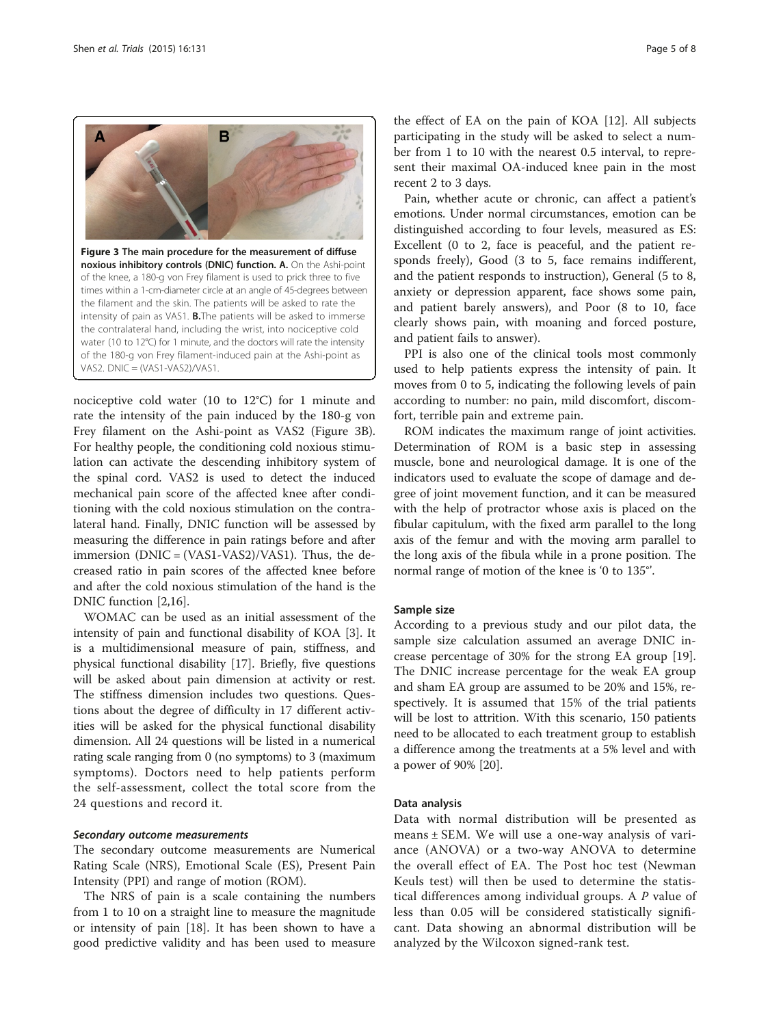<span id="page-4-0"></span>

noxious inhibitory controls (DNIC) function. A. On the Ashi-point of the knee, a 180-g von Frey filament is used to prick three to five times within a 1-cm-diameter circle at an angle of 45-degrees between the filament and the skin. The patients will be asked to rate the intensity of pain as VAS1. B.The patients will be asked to immerse the contralateral hand, including the wrist, into nociceptive cold water (10 to 12°C) for 1 minute, and the doctors will rate the intensity of the 180-g von Frey filament-induced pain at the Ashi-point as VAS2. DNIC = (VAS1-VAS2)/VAS1.

nociceptive cold water (10 to 12°C) for 1 minute and rate the intensity of the pain induced by the 180-g von Frey filament on the Ashi-point as VAS2 (Figure 3B). For healthy people, the conditioning cold noxious stimulation can activate the descending inhibitory system of the spinal cord. VAS2 is used to detect the induced mechanical pain score of the affected knee after conditioning with the cold noxious stimulation on the contralateral hand. Finally, DNIC function will be assessed by measuring the difference in pain ratings before and after immersion (DNIC = (VAS1-VAS2)/VAS1). Thus, the decreased ratio in pain scores of the affected knee before and after the cold noxious stimulation of the hand is the DNIC function [[2](#page-7-0),[16](#page-7-0)].

WOMAC can be used as an initial assessment of the intensity of pain and functional disability of KOA [\[3](#page-7-0)]. It is a multidimensional measure of pain, stiffness, and physical functional disability [[17\]](#page-7-0). Briefly, five questions will be asked about pain dimension at activity or rest. The stiffness dimension includes two questions. Questions about the degree of difficulty in 17 different activities will be asked for the physical functional disability dimension. All 24 questions will be listed in a numerical rating scale ranging from 0 (no symptoms) to 3 (maximum symptoms). Doctors need to help patients perform the self-assessment, collect the total score from the 24 questions and record it.

#### Secondary outcome measurements

The secondary outcome measurements are Numerical Rating Scale (NRS), Emotional Scale (ES), Present Pain Intensity (PPI) and range of motion (ROM).

The NRS of pain is a scale containing the numbers from 1 to 10 on a straight line to measure the magnitude or intensity of pain [[18\]](#page-7-0). It has been shown to have a good predictive validity and has been used to measure

the effect of EA on the pain of KOA [[12](#page-7-0)]. All subjects participating in the study will be asked to select a number from 1 to 10 with the nearest 0.5 interval, to represent their maximal OA-induced knee pain in the most recent 2 to 3 days.

Pain, whether acute or chronic, can affect a patient's emotions. Under normal circumstances, emotion can be distinguished according to four levels, measured as ES: Excellent (0 to 2, face is peaceful, and the patient responds freely), Good (3 to 5, face remains indifferent, and the patient responds to instruction), General (5 to 8, anxiety or depression apparent, face shows some pain, and patient barely answers), and Poor (8 to 10, face clearly shows pain, with moaning and forced posture, and patient fails to answer).

PPI is also one of the clinical tools most commonly used to help patients express the intensity of pain. It moves from 0 to 5, indicating the following levels of pain according to number: no pain, mild discomfort, discomfort, terrible pain and extreme pain.

ROM indicates the maximum range of joint activities. Determination of ROM is a basic step in assessing muscle, bone and neurological damage. It is one of the indicators used to evaluate the scope of damage and degree of joint movement function, and it can be measured with the help of protractor whose axis is placed on the fibular capitulum, with the fixed arm parallel to the long axis of the femur and with the moving arm parallel to the long axis of the fibula while in a prone position. The normal range of motion of the knee is '0 to 135°'.

#### Sample size

According to a previous study and our pilot data, the sample size calculation assumed an average DNIC increase percentage of 30% for the strong EA group [\[19](#page-7-0)]. The DNIC increase percentage for the weak EA group and sham EA group are assumed to be 20% and 15%, respectively. It is assumed that 15% of the trial patients will be lost to attrition. With this scenario, 150 patients need to be allocated to each treatment group to establish a difference among the treatments at a 5% level and with a power of 90% [[20\]](#page-7-0).

#### Data analysis

Data with normal distribution will be presented as means ± SEM. We will use a one-way analysis of variance (ANOVA) or a two-way ANOVA to determine the overall effect of EA. The Post hoc test (Newman Keuls test) will then be used to determine the statistical differences among individual groups. A P value of less than 0.05 will be considered statistically significant. Data showing an abnormal distribution will be analyzed by the Wilcoxon signed-rank test.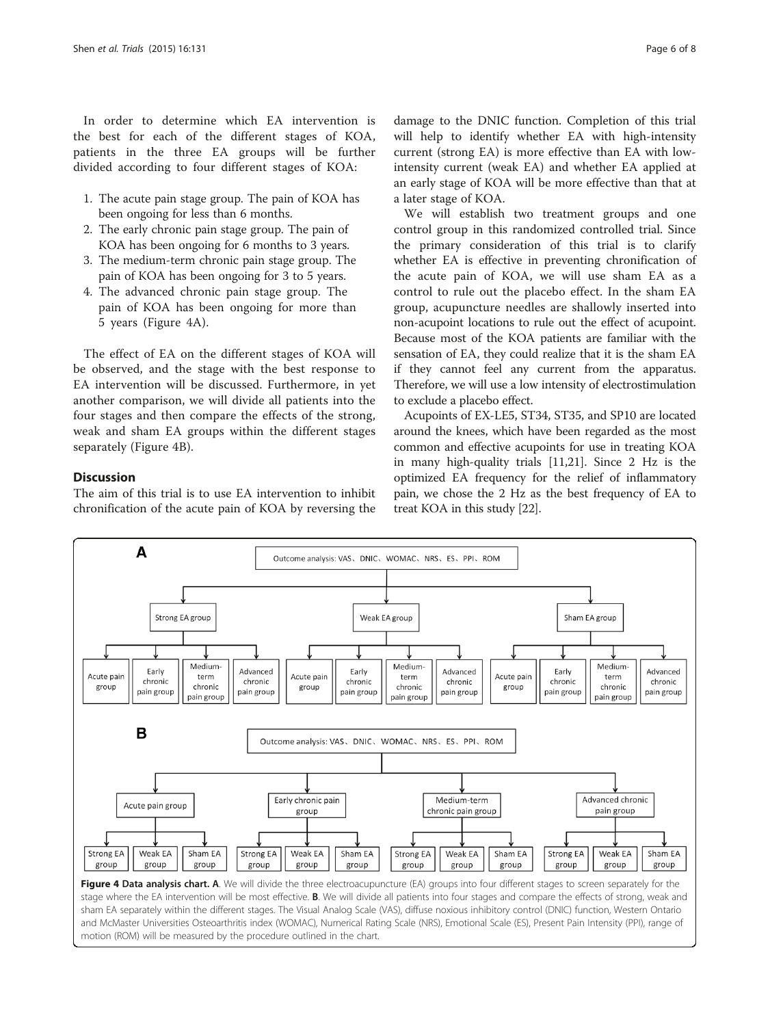In order to determine which EA intervention is the best for each of the different stages of KOA, patients in the three EA groups will be further divided according to four different stages of KOA:

- 1. The acute pain stage group. The pain of KOA has been ongoing for less than 6 months.
- 2. The early chronic pain stage group. The pain of KOA has been ongoing for 6 months to 3 years.
- 3. The medium-term chronic pain stage group. The pain of KOA has been ongoing for 3 to 5 years.
- 4. The advanced chronic pain stage group. The pain of KOA has been ongoing for more than 5 years (Figure 4A).

The effect of EA on the different stages of KOA will be observed, and the stage with the best response to EA intervention will be discussed. Furthermore, in yet another comparison, we will divide all patients into the four stages and then compare the effects of the strong, weak and sham EA groups within the different stages separately (Figure 4B).

#### **Discussion**

The aim of this trial is to use EA intervention to inhibit chronification of the acute pain of KOA by reversing the

damage to the DNIC function. Completion of this trial will help to identify whether EA with high-intensity current (strong EA) is more effective than EA with lowintensity current (weak EA) and whether EA applied at an early stage of KOA will be more effective than that at a later stage of KOA.

We will establish two treatment groups and one control group in this randomized controlled trial. Since the primary consideration of this trial is to clarify whether EA is effective in preventing chronification of the acute pain of KOA, we will use sham EA as a control to rule out the placebo effect. In the sham EA group, acupuncture needles are shallowly inserted into non-acupoint locations to rule out the effect of acupoint. Because most of the KOA patients are familiar with the sensation of EA, they could realize that it is the sham EA if they cannot feel any current from the apparatus. Therefore, we will use a low intensity of electrostimulation to exclude a placebo effect.

Acupoints of EX-LE5, ST34, ST35, and SP10 are located around the knees, which have been regarded as the most common and effective acupoints for use in treating KOA in many high-quality trials [[11,21\]](#page-7-0). Since 2 Hz is the optimized EA frequency for the relief of inflammatory pain, we chose the 2 Hz as the best frequency of EA to treat KOA in this study [\[22\]](#page-7-0).

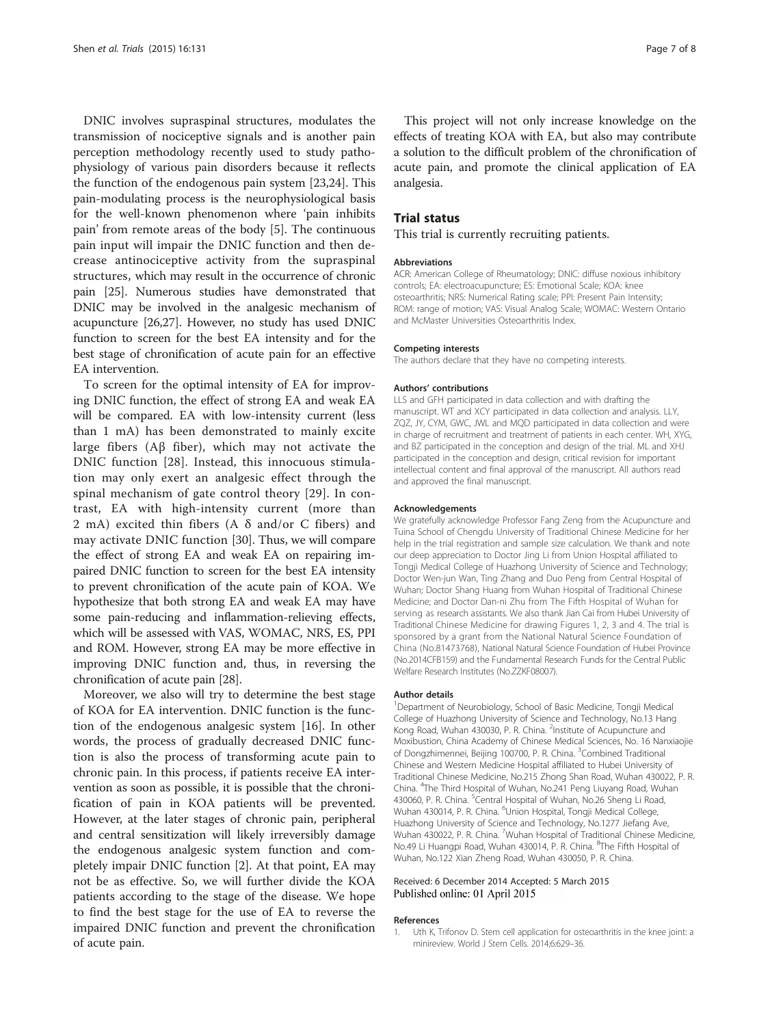<span id="page-6-0"></span>DNIC involves supraspinal structures, modulates the transmission of nociceptive signals and is another pain perception methodology recently used to study pathophysiology of various pain disorders because it reflects the function of the endogenous pain system [\[23,24](#page-7-0)]. This pain-modulating process is the neurophysiological basis for the well-known phenomenon where 'pain inhibits pain' from remote areas of the body [[5\]](#page-7-0). The continuous pain input will impair the DNIC function and then decrease antinociceptive activity from the supraspinal structures, which may result in the occurrence of chronic pain [[25](#page-7-0)]. Numerous studies have demonstrated that DNIC may be involved in the analgesic mechanism of acupuncture [\[26,27](#page-7-0)]. However, no study has used DNIC function to screen for the best EA intensity and for the best stage of chronification of acute pain for an effective EA intervention.

To screen for the optimal intensity of EA for improving DNIC function, the effect of strong EA and weak EA will be compared. EA with low-intensity current (less than 1 mA) has been demonstrated to mainly excite large fibers (Aβ fiber), which may not activate the DNIC function [[28\]](#page-7-0). Instead, this innocuous stimulation may only exert an analgesic effect through the spinal mechanism of gate control theory [[29](#page-7-0)]. In contrast, EA with high-intensity current (more than 2 mA) excited thin fibers (A  $\delta$  and/or C fibers) and may activate DNIC function [\[30](#page-7-0)]. Thus, we will compare the effect of strong EA and weak EA on repairing impaired DNIC function to screen for the best EA intensity to prevent chronification of the acute pain of KOA. We hypothesize that both strong EA and weak EA may have some pain-reducing and inflammation-relieving effects, which will be assessed with VAS, WOMAC, NRS, ES, PPI and ROM. However, strong EA may be more effective in improving DNIC function and, thus, in reversing the chronification of acute pain [\[28\]](#page-7-0).

Moreover, we also will try to determine the best stage of KOA for EA intervention. DNIC function is the function of the endogenous analgesic system [\[16](#page-7-0)]. In other words, the process of gradually decreased DNIC function is also the process of transforming acute pain to chronic pain. In this process, if patients receive EA intervention as soon as possible, it is possible that the chronification of pain in KOA patients will be prevented. However, at the later stages of chronic pain, peripheral and central sensitization will likely irreversibly damage the endogenous analgesic system function and completely impair DNIC function [[2\]](#page-7-0). At that point, EA may not be as effective. So, we will further divide the KOA patients according to the stage of the disease. We hope to find the best stage for the use of EA to reverse the impaired DNIC function and prevent the chronification of acute pain.

This project will not only increase knowledge on the effects of treating KOA with EA, but also may contribute a solution to the difficult problem of the chronification of acute pain, and promote the clinical application of EA analgesia.

#### Trial status

This trial is currently recruiting patients.

#### Abbreviations

ACR: American College of Rheumatology; DNIC: diffuse noxious inhibitory controls; EA: electroacupuncture; ES: Emotional Scale; KOA: knee osteoarthritis; NRS: Numerical Rating scale; PPI: Present Pain Intensity; ROM: range of motion; VAS: Visual Analog Scale; WOMAC: Western Ontario and McMaster Universities Osteoarthritis Index.

#### Competing interests

The authors declare that they have no competing interests.

#### Authors' contributions

LLS and GFH participated in data collection and with drafting the manuscript. WT and XCY participated in data collection and analysis. LLY, ZQZ, JY, CYM, GWC, JWL and MQD participated in data collection and were in charge of recruitment and treatment of patients in each center. WH, XYG, and BZ participated in the conception and design of the trial. ML and XHJ participated in the conception and design, critical revision for important intellectual content and final approval of the manuscript. All authors read and approved the final manuscript.

#### Acknowledgements

We gratefully acknowledge Professor Fang Zeng from the Acupuncture and Tuina School of Chengdu University of Traditional Chinese Medicine for her help in the trial registration and sample size calculation. We thank and note our deep appreciation to Doctor Jing Li from Union Hospital affiliated to Tongji Medical College of Huazhong University of Science and Technology; Doctor Wen-jun Wan, Ting Zhang and Duo Peng from Central Hospital of Wuhan; Doctor Shang Huang from Wuhan Hospital of Traditional Chinese Medicine; and Doctor Dan-ni Zhu from The Fifth Hospital of Wuhan for serving as research assistants. We also thank Jian Cai from Hubei University of Traditional Chinese Medicine for drawing Figures 1, 2, 3 and 4. The trial is sponsored by a grant from the National Natural Science Foundation of China (No.81473768), National Natural Science Foundation of Hubei Province (No.2014CFB159) and the Fundamental Research Funds for the Central Public Welfare Research Institutes (No.ZZKF08007).

#### Author details

<sup>1</sup>Department of Neurobiology, School of Basic Medicine, Tongji Medical College of Huazhong University of Science and Technology, No.13 Hang Kong Road, Wuhan 430030, P. R. China. <sup>2</sup>Institute of Acupuncture and Moxibustion, China Academy of Chinese Medical Sciences, No. 16 Nanxiaojie of Dongzhimennei, Beijing 100700, P. R. China. <sup>3</sup>Combined Traditional Chinese and Western Medicine Hospital affiliated to Hubei University of Traditional Chinese Medicine, No.215 Zhong Shan Road, Wuhan 430022, P. R. China. <sup>4</sup> The Third Hospital of Wuhan, No.241 Peng Liuyang Road, Wuhan 430060, P. R. China. <sup>5</sup>Central Hospital of Wuhan, No.26 Sheng Li Road, Wuhan 430014, P. R. China. <sup>6</sup>Union Hospital, Tongji Medical College Huazhong University of Science and Technology, No.1277 Jiefang Ave, Wuhan 430022, P. R. China. <sup>7</sup>Wuhan Hospital of Traditional Chinese Medicine No.49 Li Huangpi Road, Wuhan 430014, P. R. China. <sup>8</sup>The Fifth Hospital of Wuhan, No.122 Xian Zheng Road, Wuhan 430050, P. R. China.

#### Received: 6 December 2014 Accepted: 5 March 2015 Published online: 01 April 2015

#### References

1. Uth K, Trifonov D. Stem cell application for osteoarthritis in the knee joint: a minireview. World J Stem Cells. 2014;6:629–36.